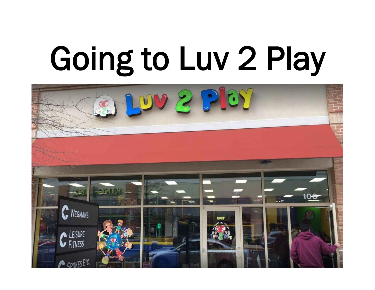## Going to Luv 2 Play

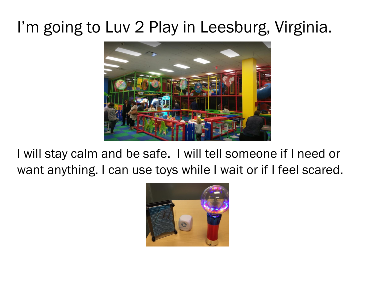## I'm going to Luv 2 Play in Leesburg, Virginia.



I will stay calm and be safe. I will tell someone if I need or want anything. I can use toys while I wait or if I feel scared.

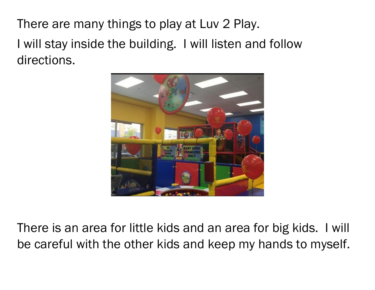There are many things to play at Luv 2 Play. I will stay inside the building. I will listen and follow directions.



There is an area for little kids and an area for big kids. I will be careful with the other kids and keep my hands to myself.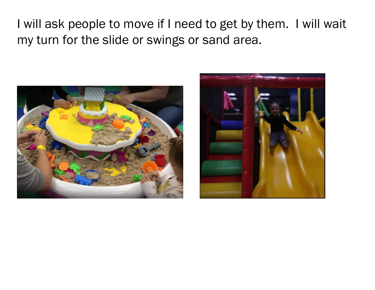I will ask people to move if I need to get by them. I will wait my turn for the slide or swings or sand area.



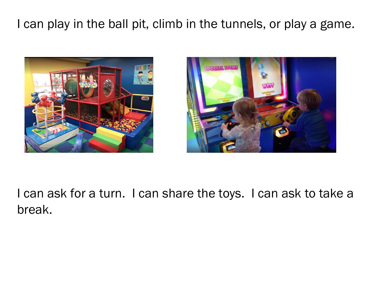## I can play in the ball pit, climb in the tunnels, or play a game.





I can ask for a turn. I can share the toys. I can ask to take a break.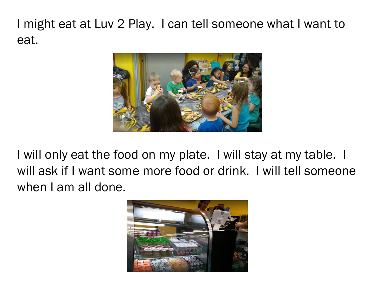I might eat at Luv 2 Play. I can tell someone what I want to eat.



I will only eat the food on my plate. I will stay at my table. I will ask if I want some more food or drink. I will tell someone when I am all done.